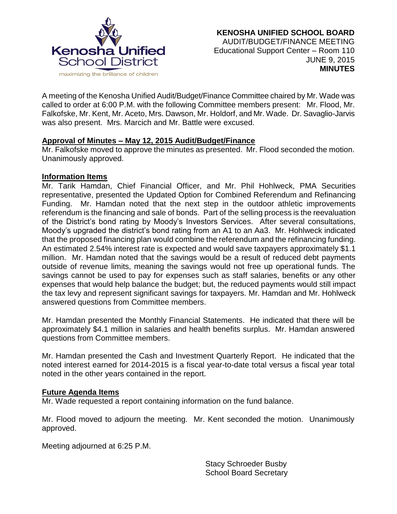

A meeting of the Kenosha Unified Audit/Budget/Finance Committee chaired by Mr. Wade was called to order at 6:00 P.M. with the following Committee members present: Mr. Flood, Mr. Falkofske, Mr. Kent, Mr. Aceto, Mrs. Dawson, Mr. Holdorf, and Mr. Wade. Dr. Savaglio-Jarvis was also present. Mrs. Marcich and Mr. Battle were excused.

## **Approval of Minutes – May 12, 2015 Audit/Budget/Finance**

Mr. Falkofske moved to approve the minutes as presented. Mr. Flood seconded the motion. Unanimously approved.

#### **Information Items**

Mr. Tarik Hamdan, Chief Financial Officer, and Mr. Phil Hohlweck, PMA Securities representative, presented the Updated Option for Combined Referendum and Refinancing Funding. Mr. Hamdan noted that the next step in the outdoor athletic improvements referendum is the financing and sale of bonds. Part of the selling process is the reevaluation of the District's bond rating by Moody's Investors Services. After several consultations, Moody's upgraded the district's bond rating from an A1 to an Aa3. Mr. Hohlweck indicated that the proposed financing plan would combine the referendum and the refinancing funding. An estimated 2.54% interest rate is expected and would save taxpayers approximately \$1.1 million. Mr. Hamdan noted that the savings would be a result of reduced debt payments outside of revenue limits, meaning the savings would not free up operational funds. The savings cannot be used to pay for expenses such as staff salaries, benefits or any other expenses that would help balance the budget; but, the reduced payments would still impact the tax levy and represent significant savings for taxpayers. Mr. Hamdan and Mr. Hohlweck answered questions from Committee members.

Mr. Hamdan presented the Monthly Financial Statements. He indicated that there will be approximately \$4.1 million in salaries and health benefits surplus. Mr. Hamdan answered questions from Committee members.

Mr. Hamdan presented the Cash and Investment Quarterly Report. He indicated that the noted interest earned for 2014-2015 is a fiscal year-to-date total versus a fiscal year total noted in the other years contained in the report.

## **Future Agenda Items**

Mr. Wade requested a report containing information on the fund balance.

Mr. Flood moved to adjourn the meeting. Mr. Kent seconded the motion. Unanimously approved.

Meeting adjourned at 6:25 P.M.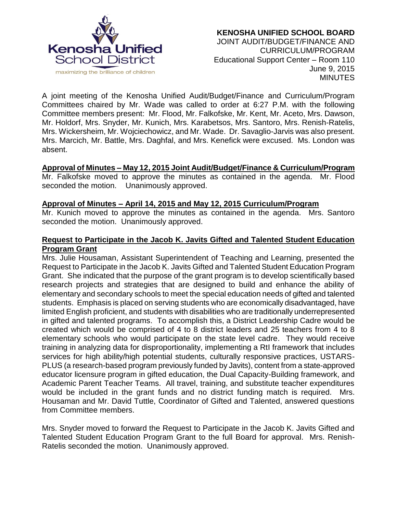

A joint meeting of the Kenosha Unified Audit/Budget/Finance and Curriculum/Program Committees chaired by Mr. Wade was called to order at 6:27 P.M. with the following Committee members present: Mr. Flood, Mr. Falkofske, Mr. Kent, Mr. Aceto, Mrs. Dawson, Mr. Holdorf, Mrs. Snyder, Mr. Kunich, Mrs. Karabetsos, Mrs. Santoro, Mrs. Renish-Ratelis, Mrs. Wickersheim, Mr. Wojciechowicz, and Mr. Wade. Dr. Savaglio-Jarvis was also present. Mrs. Marcich, Mr. Battle, Mrs. Daghfal, and Mrs. Kenefick were excused. Ms. London was absent.

## **Approval of Minutes – May 12, 2015 Joint Audit/Budget/Finance & Curriculum/Program**

Mr. Falkofske moved to approve the minutes as contained in the agenda. Mr. Flood seconded the motion. Unanimously approved.

#### **Approval of Minutes – April 14, 2015 and May 12, 2015 Curriculum/Program**

Mr. Kunich moved to approve the minutes as contained in the agenda. Mrs. Santoro seconded the motion. Unanimously approved.

#### **Request to Participate in the Jacob K. Javits Gifted and Talented Student Education Program Grant**

Mrs. Julie Housaman, Assistant Superintendent of Teaching and Learning, presented the Request to Participate in the Jacob K. Javits Gifted and Talented Student Education Program Grant. She indicated that the purpose of the grant program is to develop scientifically based research projects and strategies that are designed to build and enhance the ability of elementary and secondary schools to meet the special education needs of gifted and talented students. Emphasis is placed on serving students who are economically disadvantaged, have limited English proficient, and students with disabilities who are traditionally underrepresented in gifted and talented programs. To accomplish this, a District Leadership Cadre would be created which would be comprised of 4 to 8 district leaders and 25 teachers from 4 to 8 elementary schools who would participate on the state level cadre. They would receive training in analyzing data for disproportionality, implementing a RtI framework that includes services for high ability/high potential students, culturally responsive practices, USTARS-PLUS (a research-based program previously funded by Javits), content from a state-approved educator licensure program in gifted education, the Dual Capacity-Building framework, and Academic Parent Teacher Teams. All travel, training, and substitute teacher expenditures would be included in the grant funds and no district funding match is required. Mrs. Housaman and Mr. David Tuttle, Coordinator of Gifted and Talented, answered questions from Committee members.

Mrs. Snyder moved to forward the Request to Participate in the Jacob K. Javits Gifted and Talented Student Education Program Grant to the full Board for approval. Mrs. Renish-Ratelis seconded the motion. Unanimously approved.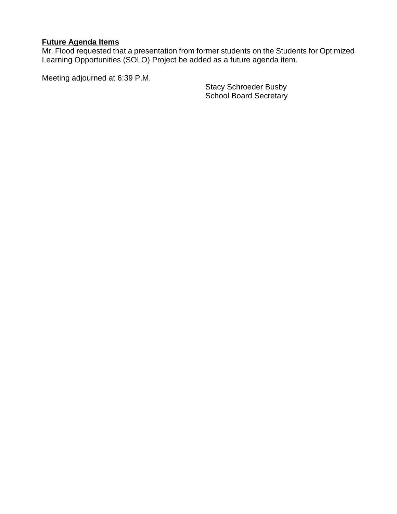# **Future Agenda Items**

Mr. Flood requested that a presentation from former students on the Students for Optimized Learning Opportunities (SOLO) Project be added as a future agenda item.

Meeting adjourned at 6:39 P.M.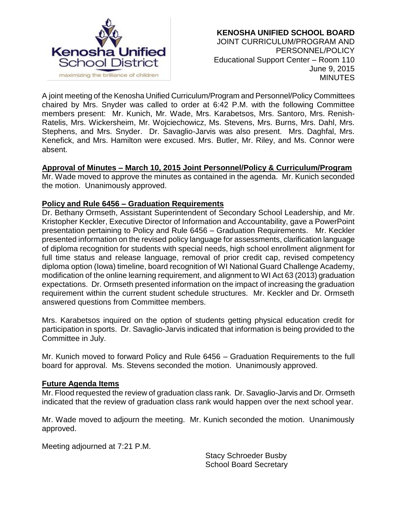

A joint meeting of the Kenosha Unified Curriculum/Program and Personnel/Policy Committees chaired by Mrs. Snyder was called to order at 6:42 P.M. with the following Committee members present: Mr. Kunich, Mr. Wade, Mrs. Karabetsos, Mrs. Santoro, Mrs. Renish-Ratelis, Mrs. Wickersheim, Mr. Wojciechowicz, Ms. Stevens, Mrs. Burns, Mrs. Dahl, Mrs. Stephens, and Mrs. Snyder. Dr. Savaglio-Jarvis was also present. Mrs. Daghfal, Mrs. Kenefick, and Mrs. Hamilton were excused. Mrs. Butler, Mr. Riley, and Ms. Connor were absent.

## **Approval of Minutes – March 10, 2015 Joint Personnel/Policy & Curriculum/Program**

Mr. Wade moved to approve the minutes as contained in the agenda. Mr. Kunich seconded the motion. Unanimously approved.

## **Policy and Rule 6456 – Graduation Requirements**

Dr. Bethany Ormseth, Assistant Superintendent of Secondary School Leadership, and Mr. Kristopher Keckler, Executive Director of Information and Accountability, gave a PowerPoint presentation pertaining to Policy and Rule 6456 – Graduation Requirements. Mr. Keckler presented information on the revised policy language for assessments, clarification language of diploma recognition for students with special needs, high school enrollment alignment for full time status and release language, removal of prior credit cap, revised competency diploma option (Iowa) timeline, board recognition of WI National Guard Challenge Academy, modification of the online learning requirement, and alignment to WI Act 63 (2013) graduation expectations. Dr. Ormseth presented information on the impact of increasing the graduation requirement within the current student schedule structures. Mr. Keckler and Dr. Ormseth answered questions from Committee members.

Mrs. Karabetsos inquired on the option of students getting physical education credit for participation in sports. Dr. Savaglio-Jarvis indicated that information is being provided to the Committee in July.

Mr. Kunich moved to forward Policy and Rule 6456 – Graduation Requirements to the full board for approval. Ms. Stevens seconded the motion. Unanimously approved.

## **Future Agenda Items**

Mr. Flood requested the review of graduation class rank. Dr. Savaglio-Jarvis and Dr. Ormseth indicated that the review of graduation class rank would happen over the next school year.

Mr. Wade moved to adjourn the meeting. Mr. Kunich seconded the motion. Unanimously approved.

Meeting adjourned at 7:21 P.M.